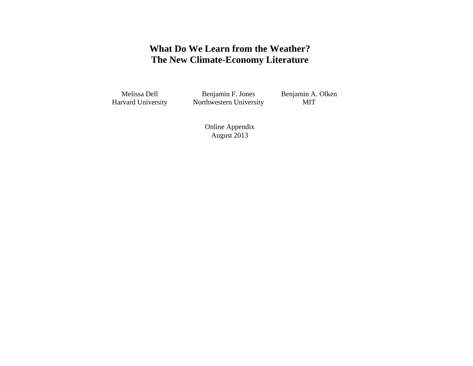## **What Do We Learn from the Weather? The New Climate-Economy Literature**

Melissa Dell Benjamin F. Jones Benjamin A. Olken<br>Harvard University Northwestern University MIT Northwestern University

Online Appendix August 2013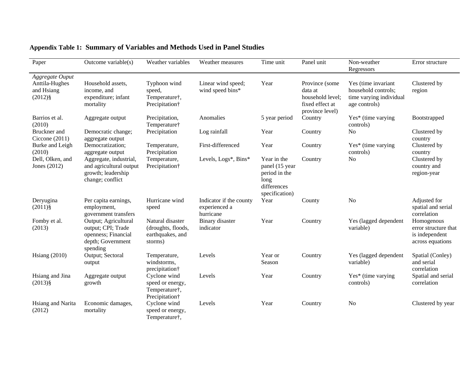| Paper                                                        | Outcome variable(s)                                                                                | Weather variables                                                               | Weather measures                                      | Time unit                                                                               | Panel unit                                                                           | Non-weather<br>Regressors                                                              | Error structure                                                          |
|--------------------------------------------------------------|----------------------------------------------------------------------------------------------------|---------------------------------------------------------------------------------|-------------------------------------------------------|-----------------------------------------------------------------------------------------|--------------------------------------------------------------------------------------|----------------------------------------------------------------------------------------|--------------------------------------------------------------------------|
| Aggregate Ouput<br>Anttila-Hughes<br>and Hsiang<br>$(2012)\$ | Household assets,<br>income, and<br>expenditure; infant<br>mortality                               | Typhoon wind<br>speed,<br>Temperature†,<br>Precipitation <sup>†</sup>           | Linear wind speed;<br>wind speed bins*                | Year                                                                                    | Province (some)<br>data at<br>household level;<br>fixed effect at<br>province level) | Yes (time invariant<br>household controls;<br>time varying individual<br>age controls) | Clustered by<br>region                                                   |
| Barrios et al.<br>(2010)                                     | Aggregate output                                                                                   | Precipitation,<br>Temperature†                                                  | Anomalies                                             | 5 year period                                                                           | Country                                                                              | Yes* (time varying<br>controls)                                                        | Bootstrapped                                                             |
| Bruckner and<br>Ciccone $(2011)$                             | Democratic change;<br>aggregate output                                                             | Precipitation                                                                   | Log rainfall                                          | Year                                                                                    | Country                                                                              | N <sub>o</sub>                                                                         | Clustered by<br>country                                                  |
| Burke and Leigh<br>(2010)                                    | Democratization;<br>aggregate output                                                               | Temperature,<br>Precipitation                                                   | First-differenced                                     | Year                                                                                    | Country                                                                              | Yes* (time varying<br>controls)                                                        | Clustered by<br>country                                                  |
| Dell, Olken, and<br>Jones $(2012)$                           | Aggregate, industrial,<br>and agricultural output<br>growth; leadership<br>change; conflict        | Temperature,<br>Precipitation <sup>†</sup>                                      | Levels, Logs*, Bins*                                  | Year in the<br>panel (15 year<br>period in the<br>long<br>differences<br>specification) | Country                                                                              | No                                                                                     | Clustered by<br>country and<br>region-year                               |
| Deryugina<br>$(2011)\$                                       | Per capita earnings,<br>employment,<br>government transfers                                        | Hurricane wind<br>speed                                                         | Indicator if the county<br>experienced a<br>hurricane | Year                                                                                    | County                                                                               | N <sub>o</sub>                                                                         | Adjusted for<br>spatial and serial<br>correlation                        |
| Fomby et al.<br>(2013)                                       | Output; Agricultural<br>output; CPI; Trade<br>openness; Financial<br>depth; Government<br>spending | Natural disaster<br>(droughts, floods,<br>earthquakes, and<br>storms)           | Binary disaster<br>indicator                          | Year                                                                                    | Country                                                                              | Yes (lagged dependent<br>variable)                                                     | Homogenous<br>error structure that<br>is independent<br>across equations |
| Hsiang $(2010)$                                              | Output; Sectoral<br>output                                                                         | Temperature,<br>windstorms,<br>precipitation†                                   | Levels                                                | Year or<br>Season                                                                       | Country                                                                              | Yes (lagged dependent<br>variable)                                                     | Spatial (Conley)<br>and serial<br>correlation                            |
| Hsiang and Jina<br>$(2013)\$                                 | Aggregate output<br>growth                                                                         | Cyclone wind<br>speed or energy,<br>Temperature†,<br>Precipitation <sup>†</sup> | Levels                                                | Year                                                                                    | Country                                                                              | Yes* (time varying<br>controls)                                                        | Spatial and serial<br>correlation                                        |
| Hsiang and Narita<br>(2012)                                  | Economic damages,<br>mortality                                                                     | Cyclone wind<br>speed or energy,<br>Temperature†,                               | Levels                                                | Year                                                                                    | Country                                                                              | N <sub>o</sub>                                                                         | Clustered by year                                                        |

## **Appendix Table 1: Summary of Variables and Methods Used in Panel Studies**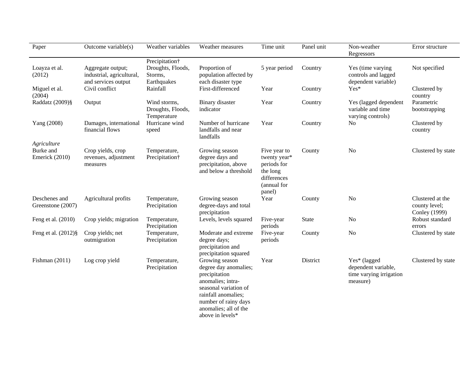| Paper                                      | Outcome variable(s)                                                   | Weather variables                                                         | Weather measures                                                                                                                                                                                   | Time unit                                                                                       | Panel unit   | Non-weather<br>Regressors                                                  | Error structure                                    |
|--------------------------------------------|-----------------------------------------------------------------------|---------------------------------------------------------------------------|----------------------------------------------------------------------------------------------------------------------------------------------------------------------------------------------------|-------------------------------------------------------------------------------------------------|--------------|----------------------------------------------------------------------------|----------------------------------------------------|
| Loayza et al.<br>(2012)                    | Aggregate output;<br>industrial, agricultural,<br>and services output | Precipitation <sup>+</sup><br>Droughts, Floods,<br>Storms,<br>Earthquakes | Proportion of<br>population affected by<br>each disaster type                                                                                                                                      | 5 year period                                                                                   | Country      | Yes (time varying<br>controls and lagged<br>dependent variable)            | Not specified                                      |
| Miguel et al.<br>(2004)                    | Civil conflict                                                        | Rainfall                                                                  | First-differenced                                                                                                                                                                                  | Year                                                                                            | Country      | Yes*                                                                       | Clustered by<br>country                            |
| Raddatz (2009)§                            | Output                                                                | Wind storms,<br>Droughts, Floods,<br>Temperature                          | Binary disaster<br>indicator                                                                                                                                                                       | Year                                                                                            | Country      | Yes (lagged dependent<br>variable and time<br>varying controls)            | Parametric<br>bootstrapping                        |
| Yang (2008)                                | Damages, international<br>financial flows                             | Hurricane wind<br>speed                                                   | Number of hurricane<br>landfalls and near<br>landfalls                                                                                                                                             | Year                                                                                            | Country      | N <sub>0</sub>                                                             | Clustered by<br>country                            |
| Agriculture<br>Burke and<br>Emerick (2010) | Crop yields, crop<br>revenues, adjustment<br>measures                 | Temperature,<br>Precipitation <sup>†</sup>                                | Growing season<br>degree days and<br>precipitation, above<br>and below a threshold                                                                                                                 | Five year to<br>twenty year*<br>periods for<br>the long<br>differences<br>(annual for<br>panel) | County       | No                                                                         | Clustered by state                                 |
| Deschenes and<br>Greenstone (2007)         | Agricultural profits                                                  | Temperature,<br>Precipitation                                             | Growing season<br>degree-days and total<br>precipitation                                                                                                                                           | Year                                                                                            | County       | N <sub>o</sub>                                                             | Clustered at the<br>county level;<br>Conley (1999) |
| Feng et al. (2010)                         | Crop yields; migration                                                | Temperature,<br>Precipitation                                             | Levels, levels squared                                                                                                                                                                             | Five-year<br>periods                                                                            | <b>State</b> | N <sub>o</sub>                                                             | Robust standard<br>errors                          |
| Feng et al. (2012)§                        | Crop yields; net<br>outmigration                                      | Temperature,<br>Precipitation                                             | Moderate and extreme<br>degree days;<br>precipitation and<br>precipitation squared                                                                                                                 | Five-year<br>periods                                                                            | County       | N <sub>0</sub>                                                             | Clustered by state                                 |
| Fishman (2011)                             | Log crop yield                                                        | Temperature,<br>Precipitation                                             | Growing season<br>degree day anomalies;<br>precipitation<br>anomalies; intra-<br>seasonal variation of<br>rainfall anomalies;<br>number of rainy days<br>anomalies; all of the<br>above in levels* | Year                                                                                            | District     | Yes* (lagged<br>dependent variable,<br>time varying irrigation<br>measure) | Clustered by state                                 |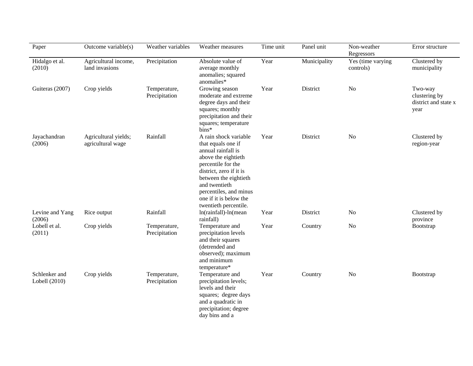| Paper                          | Outcome variable(s)                       | Weather variables             | Weather measures                                                                                                                                                                                                                                                 | Time unit | Panel unit   | Non-weather<br>Regressors      | Error structure                                          |
|--------------------------------|-------------------------------------------|-------------------------------|------------------------------------------------------------------------------------------------------------------------------------------------------------------------------------------------------------------------------------------------------------------|-----------|--------------|--------------------------------|----------------------------------------------------------|
| Hidalgo et al.<br>(2010)       | Agricultural income,<br>land invasions    | Precipitation                 | Absolute value of<br>average monthly<br>anomalies; squared<br>anomalies*                                                                                                                                                                                         | Year      | Municipality | Yes (time varying<br>controls) | Clustered by<br>municipality                             |
| Guiteras (2007)                | Crop yields                               | Temperature,<br>Precipitation | Growing season<br>moderate and extreme<br>degree days and their<br>squares; monthly<br>precipitation and their<br>squares; temperature<br>bins*                                                                                                                  | Year      | District     | No                             | Two-way<br>clustering by<br>district and state x<br>year |
| Jayachandran<br>(2006)         | Agricultural yields;<br>agricultural wage | Rainfall                      | A rain shock variable<br>that equals one if<br>annual rainfall is<br>above the eightieth<br>percentile for the<br>district, zero if it is<br>between the eightieth<br>and twentieth<br>percentiles, and minus<br>one if it is below the<br>twentieth percentile. | Year      | District     | N <sub>o</sub>                 | Clustered by<br>region-year                              |
| Levine and Yang<br>(2006)      | Rice output                               | Rainfall                      | ln(rainfall)-ln(mean<br>rainfall)                                                                                                                                                                                                                                | Year      | District     | N <sub>o</sub>                 | Clustered by<br>province                                 |
| Lobell et al.<br>(2011)        | Crop yields                               | Temperature,<br>Precipitation | Temperature and<br>precipitation levels<br>and their squares<br>(detrended and<br>observed); maximum<br>and minimum<br>temperature*                                                                                                                              | Year      | Country      | No                             | Bootstrap                                                |
| Schlenker and<br>Lobell (2010) | Crop yields                               | Temperature,<br>Precipitation | Temperature and<br>precipitation levels;<br>levels and their<br>squares; degree days<br>and a quadratic in<br>precipitation; degree<br>day bins and a                                                                                                            | Year      | Country      | N <sub>o</sub>                 | Bootstrap                                                |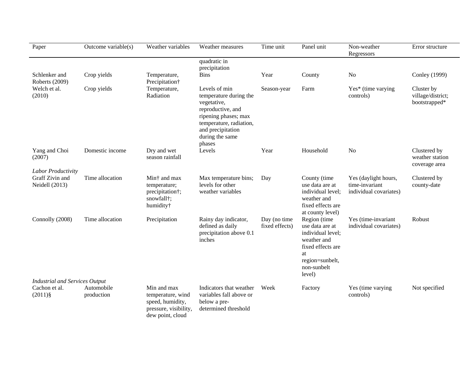| Paper                                 | Outcome variable(s)      | Weather variables                                                                                 | Weather measures                                                                                                                                                                 | Time unit                      | Panel unit                                                                                                                                 | Non-weather<br>Regressors                     | Error structure                                  |
|---------------------------------------|--------------------------|---------------------------------------------------------------------------------------------------|----------------------------------------------------------------------------------------------------------------------------------------------------------------------------------|--------------------------------|--------------------------------------------------------------------------------------------------------------------------------------------|-----------------------------------------------|--------------------------------------------------|
|                                       |                          |                                                                                                   | quadratic in<br>precipitation                                                                                                                                                    |                                |                                                                                                                                            |                                               |                                                  |
| Schlenker and<br>Roberts (2009)       | Crop yields              | Temperature,<br>Precipitation <sup>†</sup>                                                        | <b>Bins</b>                                                                                                                                                                      | Year                           | County                                                                                                                                     | N <sub>o</sub>                                | Conley (1999)                                    |
| Welch et al.<br>(2010)                | Crop yields              | Temperature,<br>Radiation                                                                         | Levels of min<br>temperature during the<br>vegetative,<br>reproductive, and<br>ripening phases; max<br>temperature, radiation,<br>and precipitation<br>during the same<br>phases | Season-year                    | Farm                                                                                                                                       | Yes* (time varying<br>controls)               | Cluster by<br>village/district;<br>bootstrapped* |
| Yang and Choi<br>(2007)               | Domestic income          | Dry and wet<br>season rainfall                                                                    | Levels                                                                                                                                                                           | Year                           | Household                                                                                                                                  | N <sub>o</sub>                                | Clustered by<br>weather station<br>coverage area |
| Labor Productivity<br>Graff Zivin and | Time allocation          | Min <sup>+</sup> and max                                                                          | Max temperature bins;                                                                                                                                                            | Day                            | County (time                                                                                                                               | Yes (daylight hours,                          | Clustered by                                     |
| Neidell (2013)                        |                          | temperature;<br>precipitation†;<br>snowfall <sup>†</sup> ;<br>humidity†                           | levels for other<br>weather variables                                                                                                                                            |                                | use data are at<br>individual level;<br>weather and<br>fixed effects are<br>at county level)                                               | time-invariant<br>individual covariates)      | county-date                                      |
| Connolly (2008)                       | Time allocation          | Precipitation                                                                                     | Rainy day indicator,<br>defined as daily<br>precipitation above 0.1<br>inches                                                                                                    | Day (no time<br>fixed effects) | Region (time<br>use data are at<br>individual level;<br>weather and<br>fixed effects are<br>at<br>region=sunbelt,<br>non-sunbelt<br>level) | Yes (time-invariant<br>individual covariates) | Robust                                           |
| <b>Industrial and Services Output</b> |                          |                                                                                                   |                                                                                                                                                                                  |                                |                                                                                                                                            |                                               |                                                  |
| Cachon et al.<br>$(2011)\$            | Automobile<br>production | Min and max<br>temperature, wind<br>speed, humidity,<br>pressure, visibility,<br>dew point, cloud | Indicators that weather<br>variables fall above or<br>below a pre-<br>determined threshold                                                                                       | Week                           | Factory                                                                                                                                    | Yes (time varying<br>controls)                | Not specified                                    |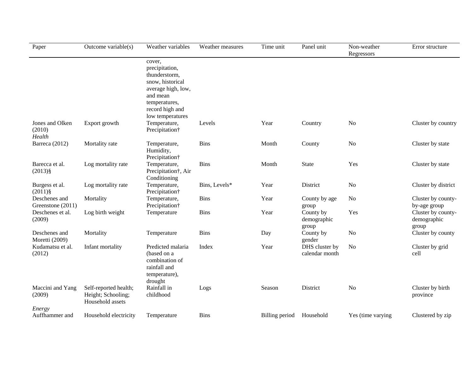| Paper                               | Outcome variable(s)                                             | Weather variables                                                                                                                                       | Weather measures | Time unit      | Panel unit                        | Non-weather<br>Regressors | Error structure                            |
|-------------------------------------|-----------------------------------------------------------------|---------------------------------------------------------------------------------------------------------------------------------------------------------|------------------|----------------|-----------------------------------|---------------------------|--------------------------------------------|
|                                     |                                                                 | cover,<br>precipitation,<br>thunderstorm,<br>snow, historical<br>average high, low,<br>and mean<br>temperatures,<br>record high and<br>low temperatures |                  |                |                                   |                           |                                            |
| Jones and Olken<br>(2010)<br>Health | Export growth                                                   | Temperature,<br>Precipitation <sup>+</sup>                                                                                                              | Levels           | Year           | Country                           | No                        | Cluster by country                         |
| Barreca (2012)                      | Mortality rate                                                  | Temperature,<br>Humidity,<br>Precipitation†                                                                                                             | <b>Bins</b>      | Month          | County                            | N <sub>o</sub>            | Cluster by state                           |
| Barecca et al.<br>$(2013)\$         | Log mortality rate                                              | Temperature,<br>Precipitation†, Air<br>Conditioning                                                                                                     | <b>Bins</b>      | Month          | <b>State</b>                      | Yes                       | Cluster by state                           |
| Burgess et al.<br>$(2011)\$         | Log mortality rate                                              | Temperature,<br>Precipitation†                                                                                                                          | Bins, Levels*    | Year           | District                          | N <sub>o</sub>            | Cluster by district                        |
| Deschenes and<br>Greenstone (2011)  | Mortality                                                       | Temperature,<br>Precipitation <sup>+</sup>                                                                                                              | <b>Bins</b>      | Year           | County by age<br>group            | No                        | Cluster by county-<br>by-age group         |
| Deschenes et al.<br>(2009)          | Log birth weight                                                | Temperature                                                                                                                                             | <b>Bins</b>      | Year           | County by<br>demographic<br>group | Yes                       | Cluster by county-<br>demographic<br>group |
| Deschenes and<br>Moretti (2009)     | Mortality                                                       | Temperature                                                                                                                                             | <b>Bins</b>      | Day            | County by<br>gender               | N <sub>o</sub>            | Cluster by county                          |
| Kudamatsu et al.<br>(2012)          | Infant mortality                                                | Predicted malaria<br>(based on a<br>combination of<br>rainfall and<br>temperature),<br>drought                                                          | Index            | Year           | DHS cluster by<br>calendar month  | N <sub>o</sub>            | Cluster by grid<br>cell                    |
| Maccini and Yang<br>(2009)          | Self-reported health;<br>Height; Schooling;<br>Household assets | Rainfall in<br>childhood                                                                                                                                | Logs             | Season         | District                          | No                        | Cluster by birth<br>province               |
| Energy<br>Auffhammer and            | Household electricity                                           | Temperature                                                                                                                                             | <b>Bins</b>      | Billing period | Household                         | Yes (time varying         | Clustered by zip                           |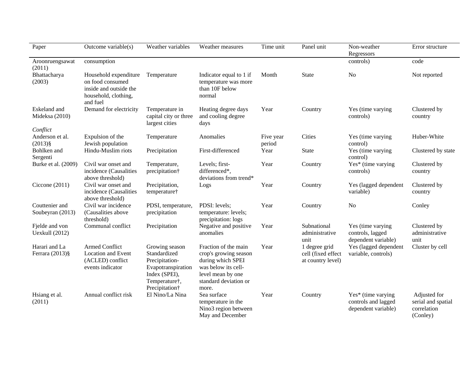| Paper                                      | Outcome variable(s)                                                                                     | Weather variables                                                                                                                      | Weather measures                                                                                                                                 | Time unit           | Panel unit                                               | Non-weather<br>Regressors                                        | Error structure                                               |
|--------------------------------------------|---------------------------------------------------------------------------------------------------------|----------------------------------------------------------------------------------------------------------------------------------------|--------------------------------------------------------------------------------------------------------------------------------------------------|---------------------|----------------------------------------------------------|------------------------------------------------------------------|---------------------------------------------------------------|
| Aroonruengsawat<br>(2011)                  | consumption                                                                                             |                                                                                                                                        |                                                                                                                                                  |                     |                                                          | controls)                                                        | code                                                          |
| Bhattacharya<br>(2003)                     | Household expenditure<br>on food consumed<br>inside and outside the<br>household, clothing,<br>and fuel | Temperature                                                                                                                            | Indicator equal to 1 if<br>temperature was more<br>than 10F below<br>normal                                                                      | Month               | <b>State</b>                                             | N <sub>o</sub>                                                   | Not reported                                                  |
| Eskeland and<br>Mideksa (2010)<br>Conflict | Demand for electricity                                                                                  | Temperature in<br>capital city or three<br>largest cities                                                                              | Heating degree days<br>and cooling degree<br>days                                                                                                | Year                | Country                                                  | Yes (time varying<br>controls)                                   | Clustered by<br>country                                       |
| Anderson et al.<br>$(2013)\$               | Expulsion of the<br>Jewish population                                                                   | Temperature                                                                                                                            | Anomalies                                                                                                                                        | Five year<br>period | Cities                                                   | Yes (time varying<br>control)                                    | Huber-White                                                   |
| Bohlken and<br>Sergenti                    | Hindu-Muslim riots                                                                                      | Precipitation                                                                                                                          | First-differenced                                                                                                                                | Year                | <b>State</b>                                             | Yes (time varying<br>control)                                    | Clustered by state                                            |
| Burke et al. (2009)                        | Civil war onset and<br>incidence (Causalities<br>above threshold)                                       | Temperature,<br>precipitation <sup>†</sup>                                                                                             | Levels; first-<br>differenced*,<br>deviations from trend*                                                                                        | Year                | Country                                                  | Yes* (time varying<br>controls)                                  | Clustered by<br>country                                       |
| Ciccone $(2011)$                           | Civil war onset and<br>incidence (Causalities<br>above threshold)                                       | Precipitation,<br>temperature†                                                                                                         | Logs                                                                                                                                             | Year                | Country                                                  | Yes (lagged dependent<br>variable)                               | Clustered by<br>country                                       |
| Couttenier and<br>Soubeyran (2013)         | Civil war incidence<br>(Causalities above)<br>threshold)                                                | PDSI, temperature,<br>precipitation                                                                                                    | PDSI: levels;<br>temperature: levels;<br>precipitation: logs                                                                                     | Year                | Country                                                  | N <sub>o</sub>                                                   | Conley                                                        |
| Fjelde and von<br><b>Uexkull</b> (2012)    | Communal conflict                                                                                       | Precipitation                                                                                                                          | Negative and positive<br>anomalies                                                                                                               | Year                | Subnational<br>administrative<br>unit                    | Yes (time varying<br>controls, lagged<br>dependent variable)     | Clustered by<br>administrative<br>unit                        |
| Harari and La<br>Ferrara (2013)§           | Armed Conflict<br><b>Location and Event</b><br>(ACLED) conflict<br>events indicator                     | Growing season<br>Standardized<br>Precipitation-<br>Evapotranspiration<br>Index (SPEI),<br>Temperature†,<br>Precipitation <sup>†</sup> | Fraction of the main<br>crop's growing season<br>during which SPEI<br>was below its cell-<br>level mean by one<br>standard deviation or<br>more. | Year                | 1 degree grid<br>cell (fixed effect<br>at country level) | Yes (lagged dependent<br>variable, controls)                     | Cluster by cell                                               |
| Hsiang et al.<br>(2011)                    | Annual conflict risk                                                                                    | El Nino/La Nina                                                                                                                        | Sea surface<br>temperature in the<br>Nino3 region between<br>May and December                                                                    | Year                | Country                                                  | Yes* (time varying<br>controls and lagged<br>dependent variable) | Adjusted for<br>serial and spatial<br>correlation<br>(Conley) |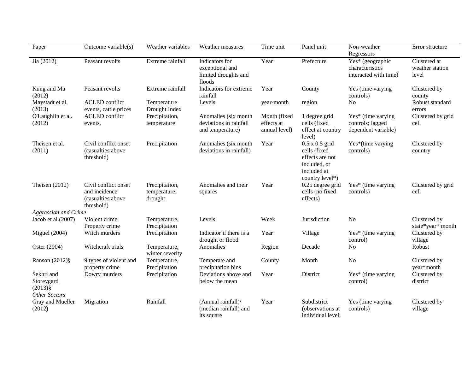| Paper                                                         | Outcome variable(s)                                                      | Weather variables                         | Weather measures                                                    | Time unit                                   | Panel unit                                                                                                 | Non-weather<br>Regressors                                     | Error structure                          |
|---------------------------------------------------------------|--------------------------------------------------------------------------|-------------------------------------------|---------------------------------------------------------------------|---------------------------------------------|------------------------------------------------------------------------------------------------------------|---------------------------------------------------------------|------------------------------------------|
| Jia (2012)                                                    | Peasant revolts                                                          | Extreme rainfall                          | Indicators for<br>exceptional and<br>limited droughts and<br>floods | Year                                        | Prefecture                                                                                                 | Yes* (geographic<br>characteristics<br>interacted with time)  | Clustered at<br>weather station<br>level |
| Kung and Ma<br>(2012)                                         | Peasant revolts                                                          | Extreme rainfall                          | Indicators for extreme<br>rainfall                                  | Year                                        | County                                                                                                     | Yes (time varying<br>controls)                                | Clustered by<br>county                   |
| Maystadt et al.<br>(2013)                                     | <b>ACLED</b> conflict<br>events, cattle prices                           | Temperature<br>Drought Index              | Levels                                                              | year-month                                  | region                                                                                                     | N <sub>0</sub>                                                | Robust standard<br>errors                |
| O'Laughlin et al.<br>(2012)                                   | <b>ACLED</b> conflict<br>events,                                         | Precipitation,<br>temperature             | Anomalies (six month)<br>deviations in rainfall<br>and temperature) | Month (fixed<br>effects at<br>annual level) | 1 degree grid<br>cells (fixed<br>effect at country<br>level)                                               | Yes* (time varying<br>controls; lagged<br>dependent variable) | Clustered by grid<br>cell                |
| Theisen et al.<br>(2011)                                      | Civil conflict onset<br>(casualties above<br>threshold)                  | Precipitation                             | Anomalies (six month<br>deviations in rainfall)                     | Year                                        | $0.5 \times 0.5$ grid<br>cells (fixed<br>effects are not<br>included, or<br>included at<br>country level*) | Yes*(time varying<br>controls)                                | Clustered by<br>country                  |
| Theisen $(2012)$                                              | Civil conflict onset<br>and incidence<br>(casualties above<br>threshold) | Precipitation,<br>temperature,<br>drought | Anomalies and their<br>squares                                      | Year                                        | 0.25 degree grid<br>cells (no fixed<br>effects)                                                            | Yes* (time varying<br>controls)                               | Clustered by grid<br>cell                |
| <b>Aggression and Crime</b>                                   |                                                                          |                                           |                                                                     |                                             |                                                                                                            |                                                               |                                          |
| Jacob et al.(2007)                                            | Violent crime,<br>Property crime                                         | Temperature,<br>Precipitation             | Levels                                                              | Week                                        | Jurisdiction                                                                                               | <b>No</b>                                                     | Clustered by<br>state*year* month        |
| Miguel $(2004)$                                               | Witch murders                                                            | Precipitation                             | Indicator if there is a<br>drought or flood                         | Year                                        | Village                                                                                                    | Yes* (time varying<br>control)                                | Clustered by<br>village                  |
| Oster (2004)                                                  | Witchcraft trials                                                        | Temperature,<br>winter severity           | Anomalies                                                           | Region                                      | Decade                                                                                                     | N <sub>0</sub>                                                | Robust                                   |
| Ranson (2012)§                                                | 9 types of violent and<br>property crime                                 | Temperature,<br>Precipitation             | Temperate and<br>precipitation bins                                 | County                                      | Month                                                                                                      | N <sub>o</sub>                                                | Clustered by<br>year*month               |
| Sekhri and<br>Storeygard<br>$(2013)\$<br><b>Other Sectors</b> | Dowry murders                                                            | Precipitation                             | Deviations above and<br>below the mean                              | Year                                        | District                                                                                                   | Yes* (time varying<br>control)                                | Clustered by<br>district                 |
| Gray and Mueller<br>(2012)                                    | Migration                                                                | Rainfall                                  | (Annual rainfall)/<br>(median rainfall) and<br>its square           | Year                                        | Subdistrict<br>(observations at<br>individual level;                                                       | Yes (time varying<br>controls)                                | Clustered by<br>village                  |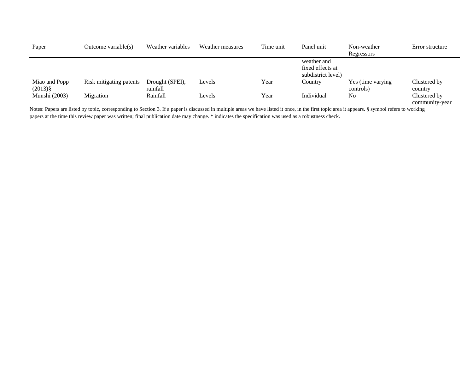| Paper                      | Outcome variable(s)     | Weather variables           | Weather measures | Time unit | Panel unit                                            | Non-weather<br>Regressors       | Error structure                |
|----------------------------|-------------------------|-----------------------------|------------------|-----------|-------------------------------------------------------|---------------------------------|--------------------------------|
|                            |                         |                             |                  |           | weather and<br>fixed effects at<br>subdistrict level) |                                 |                                |
| Miao and Popp<br>$(2013)\$ | Risk mitigating patents | Drought (SPEI),<br>rainfall | Levels           | Year      | Country                                               | Yes (time varying)<br>controls) | Clustered by<br>country        |
| Munshi (2003)              | Migration               | Rainfall                    | Levels           | Year      | Individual                                            | No                              | Clustered by<br>community-year |

Notes: Papers are listed by topic, corresponding to Section 3. If a paper is discussed in multiple areas we have listed it once, in the first topic area it appears. § symbol refers to working papers at the time this review paper was written; final publication date may change. \* indicates the specification was used as a robustness check.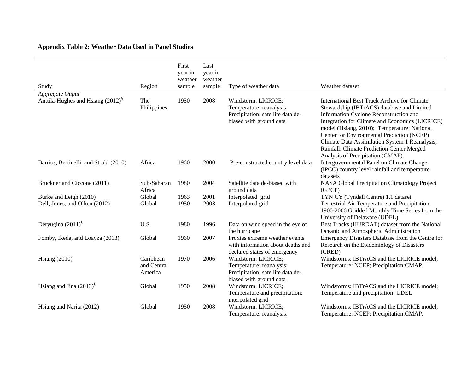## **Appendix Table 2: Weather Data Used in Panel Studies**

| Study                                         | Region                              | First<br>year in<br>weather<br>sample | Last<br>year in<br>weather<br>sample | Type of weather data                                                                                            | Weather dataset                                                                                                                                                                                                                                                                                                                                                                             |
|-----------------------------------------------|-------------------------------------|---------------------------------------|--------------------------------------|-----------------------------------------------------------------------------------------------------------------|---------------------------------------------------------------------------------------------------------------------------------------------------------------------------------------------------------------------------------------------------------------------------------------------------------------------------------------------------------------------------------------------|
| Aggregate Ouput                               |                                     |                                       |                                      |                                                                                                                 |                                                                                                                                                                                                                                                                                                                                                                                             |
| Anttila-Hughes and Hsiang (2012) <sup>§</sup> | The<br>Philippines                  | 1950                                  | 2008                                 | Windstorm: LICRICE;<br>Temperature: reanalysis;<br>Precipitation: satellite data de-<br>biased with ground data | <b>International Best Track Archive for Climate</b><br>Stewardship (IBTrACS) database and Limited<br>Information Cyclone Reconstruction and<br>Integration for Climate and Economics (LICRICE)<br>model (Hsiang, 2010); Temperature: National<br>Center for Environmental Prediction (NCEP)<br>Climate Data Assimilation System 1 Reanalysis;<br>Rainfall: Climate Prediction Center Merged |
| Barrios, Bertinelli, and Strobl (2010)        | Africa                              | 1960                                  | 2000                                 | Pre-constructed country level data                                                                              | Analysis of Precipitation (CMAP).<br>Intergovernmental Panel on Climate Change<br>(IPCC) country level rainfall and temperature<br>datasets                                                                                                                                                                                                                                                 |
| Bruckner and Ciccone (2011)                   | Sub-Saharan<br>Africa               | 1980                                  | 2004                                 | Satellite data de-biased with<br>ground data                                                                    | NASA Global Precipitation Climatology Project<br>(GPCP)                                                                                                                                                                                                                                                                                                                                     |
| Burke and Leigh (2010)                        | Global                              | 1963                                  | 2001                                 | Interpolated grid                                                                                               | TYN CY (Tyndall Centre) 1.1 dataset                                                                                                                                                                                                                                                                                                                                                         |
| Dell, Jones, and Olken (2012)                 | Global                              | 1950                                  | 2003                                 | Interpolated grid                                                                                               | Terrestrial Air Temperature and Precipitation:<br>1900-2006 Gridded Monthly Time Series from the<br>University of Delaware (UDEL)                                                                                                                                                                                                                                                           |
| Deryugina $(2011)^{\frac{6}{5}}$              | U.S.                                | 1980                                  | 1996                                 | Data on wind speed in the eye of<br>the hurricane                                                               | Best Tracks (HURDAT) dataset from the National<br>Oceanic and Atmospheric Administration                                                                                                                                                                                                                                                                                                    |
| Fomby, Ikeda, and Loayza (2013)               | Global                              | 1960                                  | 2007                                 | Proxies extreme weather events<br>with information about deaths and<br>declared states of emergency             | Emergency Disasters Database from the Centre for<br>Research on the Epidemiology of Disasters<br>(CRED)                                                                                                                                                                                                                                                                                     |
| Hsiang $(2010)$                               | Caribbean<br>and Central<br>America | 1970                                  | 2006                                 | Windstorm: LICRICE;<br>Temperature: reanalysis;<br>Precipitation: satellite data de-<br>biased with ground data | Windstorms: IBTrACS and the LICRICE model;<br>Temperature: NCEP; Precipitation:CMAP.                                                                                                                                                                                                                                                                                                        |
| Hsiang and Jina $(2013)^{\$}$                 | Global                              | 1950                                  | 2008                                 | Windstorm: LICRICE;<br>Temperature and precipitation:<br>interpolated grid                                      | Windstorms: IBTrACS and the LICRICE model;<br>Temperature and precipitation: UDEL                                                                                                                                                                                                                                                                                                           |
| Hsiang and Narita (2012)                      | Global                              | 1950                                  | 2008                                 | Windstorm: LICRICE;<br>Temperature: reanalysis;                                                                 | Windstorms: IBTrACS and the LICRICE model;<br>Temperature: NCEP; Precipitation:CMAP.                                                                                                                                                                                                                                                                                                        |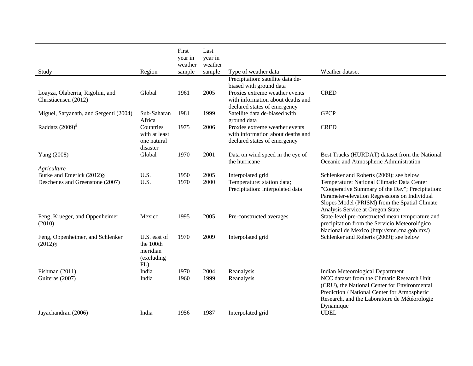| Study                                                        | Region                                                     | First<br>year in<br>weather<br>sample | Last<br>year in<br>weather<br>sample | Type of weather data                                                                                | Weather dataset                                                                                                                                                                                                                                                                 |
|--------------------------------------------------------------|------------------------------------------------------------|---------------------------------------|--------------------------------------|-----------------------------------------------------------------------------------------------------|---------------------------------------------------------------------------------------------------------------------------------------------------------------------------------------------------------------------------------------------------------------------------------|
|                                                              |                                                            |                                       |                                      | Precipitation: satellite data de-                                                                   |                                                                                                                                                                                                                                                                                 |
| Loayza, Olaberria, Rigolini, and                             | Global                                                     | 1961                                  | 2005                                 | biased with ground data<br>Proxies extreme weather events                                           | <b>CRED</b>                                                                                                                                                                                                                                                                     |
| Christiaensen (2012)                                         |                                                            |                                       |                                      | with information about deaths and<br>declared states of emergency                                   |                                                                                                                                                                                                                                                                                 |
| Miguel, Satyanath, and Sergenti (2004)                       | Sub-Saharan<br>Africa                                      | 1981                                  | 1999                                 | Satellite data de-biased with<br>ground data                                                        | <b>GPCP</b>                                                                                                                                                                                                                                                                     |
| Raddatz $(2009)^8$                                           | Countries<br>with at least<br>one natural<br>disaster      | 1975                                  | 2006                                 | Proxies extreme weather events<br>with information about deaths and<br>declared states of emergency | <b>CRED</b>                                                                                                                                                                                                                                                                     |
| Yang (2008)                                                  | Global                                                     | 1970                                  | 2001                                 | Data on wind speed in the eye of<br>the hurricane                                                   | Best Tracks (HURDAT) dataset from the National<br>Oceanic and Atmospheric Administration                                                                                                                                                                                        |
| Agriculture                                                  |                                                            |                                       |                                      |                                                                                                     |                                                                                                                                                                                                                                                                                 |
| Burke and Emerick (2012)§<br>Deschenes and Greenstone (2007) | U.S.<br>U.S.                                               | 1950<br>1970                          | 2005<br>2000                         | Interpolated grid<br>Temperature: station data;<br>Precipitation: interpolated data                 | Schlenker and Roberts (2009); see below<br>Temperature: National Climatic Data Center<br>"Cooperative Summary of the Day"; Precipitation:<br>Parameter-elevation Regressions on Individual<br>Slopes Model (PRISM) from the Spatial Climate<br>Analysis Service at Oregon State |
| Feng, Krueger, and Oppenheimer<br>(2010)                     | Mexico                                                     | 1995                                  | 2005                                 | Pre-constructed averages                                                                            | State-level pre-constructed mean temperature and<br>precipitation from the Servicio Meteorológico<br>Nacional de Mexico (http://smn.cna.gob.mx/)                                                                                                                                |
| Feng, Oppenheimer, and Schlenker<br>$(2012)\$                | U.S. east of<br>the 100th<br>meridian<br>(excluding<br>FL) | 1970                                  | 2009                                 | Interpolated grid                                                                                   | Schlenker and Roberts (2009); see below                                                                                                                                                                                                                                         |
| Fishman (2011)                                               | India                                                      | 1970                                  | 2004                                 | Reanalysis                                                                                          | Indian Meteorological Department                                                                                                                                                                                                                                                |
| Guiteras (2007)                                              | India                                                      | 1960                                  | 1999                                 | Reanalysis                                                                                          | NCC dataset from the Climatic Research Unit<br>(CRU), the National Center for Environmental<br>Prediction / National Center for Atmospheric<br>Research, and the Laboratoire de Météorologie<br>Dynamique                                                                       |
| Jayachandran (2006)                                          | India                                                      | 1956                                  | 1987                                 | Interpolated grid                                                                                   | <b>UDEL</b>                                                                                                                                                                                                                                                                     |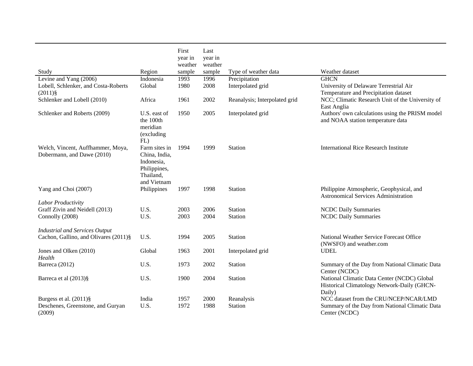| Study                                                           | Region                                                                                   | First<br>year in<br>weather<br>sample | Last<br>year in<br>weather<br>sample | Type of weather data          | Weather dataset                                                                                      |
|-----------------------------------------------------------------|------------------------------------------------------------------------------------------|---------------------------------------|--------------------------------------|-------------------------------|------------------------------------------------------------------------------------------------------|
| Levine and Yang (2006)                                          | Indonesia                                                                                | 1993                                  | 1996                                 | Precipitation                 | <b>GHCN</b>                                                                                          |
| Lobell, Schlenker, and Costa-Roberts<br>$(2011)\$               | Global                                                                                   | 1980                                  | 2008                                 | Interpolated grid             | University of Delaware Terrestrial Air<br>Temperature and Precipitation dataset                      |
| Schlenker and Lobell (2010)                                     | Africa                                                                                   | 1961                                  | 2002                                 | Reanalysis; Interpolated grid | NCC; Climatic Research Unit of the University of<br>East Anglia                                      |
| Schlenker and Roberts (2009)                                    | U.S. east of<br>the 100th<br>meridian<br>(excluding<br>FL)                               | 1950                                  | 2005                                 | Interpolated grid             | Authors' own calculations using the PRISM model<br>and NOAA station temperature data                 |
| Welch, Vincent, Auffhammer, Moya,<br>Dobermann, and Dawe (2010) | Farm sites in<br>China, India,<br>Indonesia,<br>Philippines,<br>Thailand,<br>and Vietnam | 1994                                  | 1999                                 | Station                       | <b>International Rice Research Institute</b>                                                         |
| Yang and Choi (2007)                                            | Philippines                                                                              | 1997                                  | 1998                                 | Station                       | Philippine Atmospheric, Geophysical, and<br><b>Astronomical Services Administration</b>              |
| Labor Productivity<br>Graff Zivin and Neidell (2013)            | U.S.                                                                                     | 2003                                  | 2006                                 | <b>Station</b>                | <b>NCDC Daily Summaries</b>                                                                          |
| Connolly (2008)                                                 | U.S.                                                                                     | 2003                                  | 2004                                 | Station                       | <b>NCDC Daily Summaries</b>                                                                          |
|                                                                 |                                                                                          |                                       |                                      |                               |                                                                                                      |
| <b>Industrial and Services Output</b>                           |                                                                                          |                                       |                                      |                               |                                                                                                      |
| Cachon, Gallino, and Olivares (2011)§                           | U.S.                                                                                     | 1994                                  | 2005                                 | Station                       | National Weather Service Forecast Office<br>(NWSFO) and weather.com                                  |
| Jones and Olken (2010)<br>Health                                | Global                                                                                   | 1963                                  | 2001                                 | Interpolated grid             | <b>UDEL</b>                                                                                          |
| Barreca (2012)                                                  | U.S.                                                                                     | 1973                                  | 2002                                 | Station                       | Summary of the Day from National Climatic Data<br>Center (NCDC)                                      |
| Barreca et al (2013)§                                           | U.S.                                                                                     | 1900                                  | 2004                                 | Station                       | National Climatic Data Center (NCDC) Global<br>Historical Climatology Network-Daily (GHCN-<br>Daily) |
| Burgess et al. $(2011)\$ §                                      | India                                                                                    | 1957                                  | 2000                                 | Reanalysis                    | NCC dataset from the CRU/NCEP/NCAR/LMD                                                               |
| Deschenes, Greenstone, and Guryan<br>(2009)                     | U.S.                                                                                     | 1972                                  | 1988                                 | Station                       | Summary of the Day from National Climatic Data<br>Center (NCDC)                                      |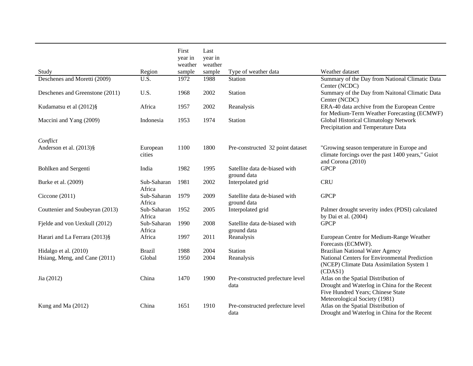| Study                           | Region                | First<br>year in<br>weather<br>sample | Last<br>year in<br>weather<br>sample | Type of weather data                         | Weather dataset                                                                                                                                            |
|---------------------------------|-----------------------|---------------------------------------|--------------------------------------|----------------------------------------------|------------------------------------------------------------------------------------------------------------------------------------------------------------|
| Deschenes and Moretti (2009)    | U.S.                  | 1972                                  | 1988                                 | Station                                      | Summary of the Day from National Climatic Data<br>Center (NCDC)                                                                                            |
| Deschenes and Greenstone (2011) | U.S.                  | 1968                                  | 2002                                 | Station                                      | Summary of the Day from Naitonal Climatic Data<br>Center (NCDC)                                                                                            |
| Kudamatsu et al (2012)§         | Africa                | 1957                                  | 2002                                 | Reanalysis                                   | ERA-40 data archive from the European Centre<br>for Medium-Term Weather Forecasting (ECMWF)                                                                |
| Maccini and Yang (2009)         | Indonesia             | 1953                                  | 1974                                 | Station                                      | Global Historical Climatology Network<br>Precipitation and Temperature Data                                                                                |
| Conflict                        |                       |                                       |                                      |                                              |                                                                                                                                                            |
| Anderson et al. $(2013)\$       | European<br>cities    | 1100                                  | 1800                                 | Pre-constructed 32 point dataset             | "Growing season temperature in Europe and<br>climate forcings over the past 1400 years," Guiot<br>and Corona (2010)                                        |
| Bohlken and Sergenti            | India                 | 1982                                  | 1995                                 | Satellite data de-biased with<br>ground data | <b>GPCP</b>                                                                                                                                                |
| Burke et al. (2009)             | Sub-Saharan<br>Africa | 1981                                  | 2002                                 | Interpolated grid                            | <b>CRU</b>                                                                                                                                                 |
| Ciccone $(2011)$                | Sub-Saharan<br>Africa | 1979                                  | 2009                                 | Satellite data de-biased with<br>ground data | <b>GPCP</b>                                                                                                                                                |
| Couttenier and Soubeyran (2013) | Sub-Saharan<br>Africa | 1952                                  | 2005                                 | Interpolated grid                            | Palmer drought severity index (PDSI) calculated<br>by Dai et al. (2004)                                                                                    |
| Fjelde and von Uexkull (2012)   | Sub-Saharan<br>Africa | 1990                                  | 2008                                 | Satellite data de-biased with<br>ground data | <b>GPCP</b>                                                                                                                                                |
| Harari and La Ferrara (2013)§   | Africa                | 1997                                  | 2011                                 | Reanalysis                                   | European Centre for Medium-Range Weather<br>Forecasts (ECMWF).                                                                                             |
| Hidalgo et al. (2010)           | <b>Brazil</b>         | 1988                                  | 2004                                 | Station                                      | <b>Brazilian National Water Agency</b>                                                                                                                     |
| Hsiang, Meng, and Cane (2011)   | Global                | 1950                                  | 2004                                 | Reanalysis                                   | National Centers for Environmental Prediction<br>(NCEP) Climate Data Assimilation System 1<br>(CDAS1)                                                      |
| Jia (2012)                      | China                 | 1470                                  | 1900                                 | Pre-constructed prefecture level<br>data     | Atlas on the Spatial Distribution of<br>Drought and Waterlog in China for the Recent<br>Five Hundred Years; Chinese State<br>Meteorological Society (1981) |
| Kung and Ma (2012)              | China                 | 1651                                  | 1910                                 | Pre-constructed prefecture level<br>data     | Atlas on the Spatial Distribution of<br>Drought and Waterlog in China for the Recent                                                                       |